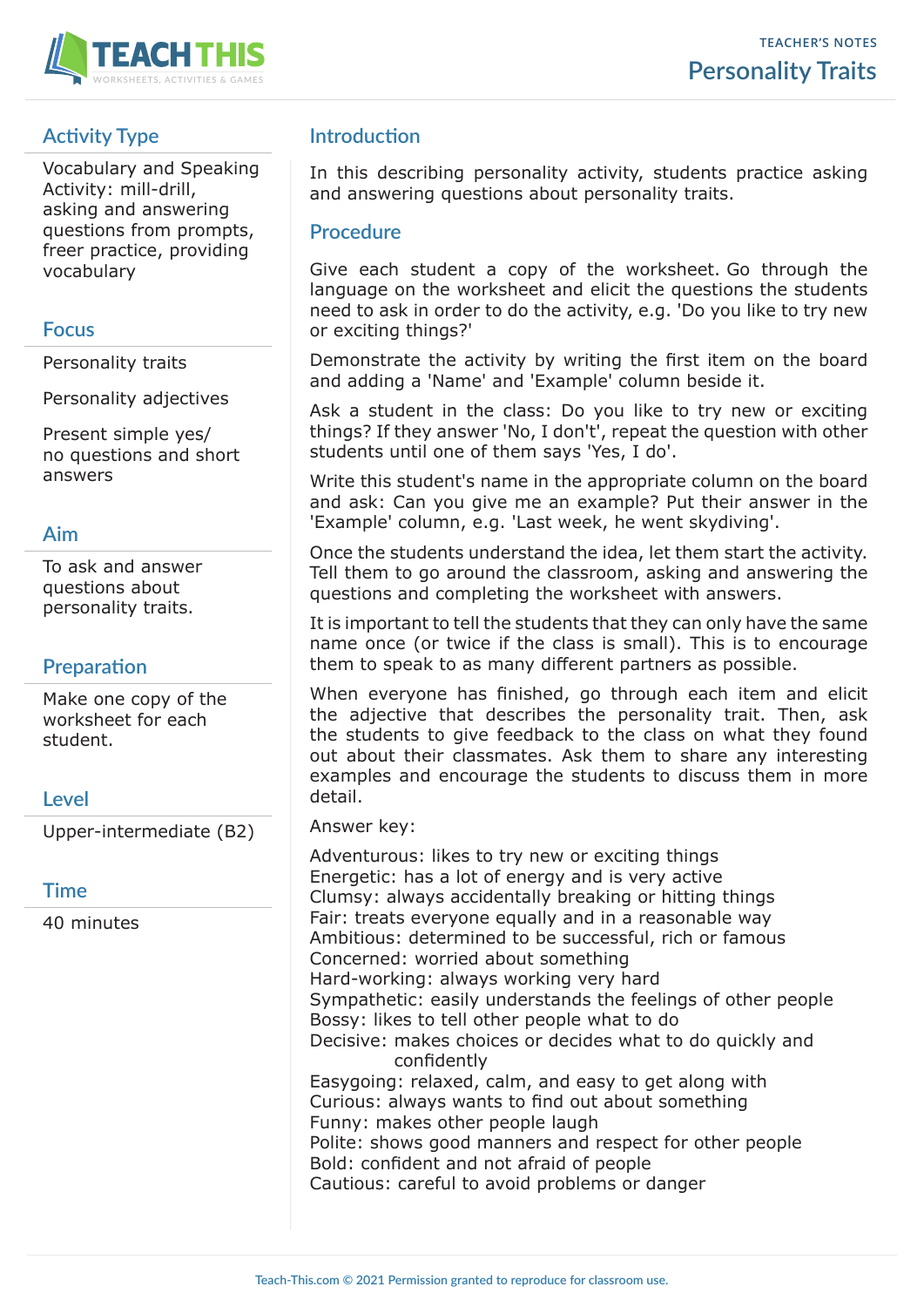

# **Activity Type**

Vocabulary and Speaking Activity: mill-drill, asking and answering questions from prompts, freer practice, providing vocabulary

#### **Focus**

Personality traits

Personality adjectives

Present simple yes/ no questions and short answers

### **Aim**

To ask and answer questions about personality traits.

### **Preparation**

Make one copy of the worksheet for each student.

### **Level**

Upper-intermediate (B2)

#### **Time**

40 minutes

## **Introduction**

In this describing personality activity, students practice asking and answering questions about personality traits.

#### **Procedure**

Give each student a copy of the worksheet. Go through the language on the worksheet and elicit the questions the students need to ask in order to do the activity, e.g. 'Do you like to try new or exciting things?'

Demonstrate the activity by writing the first item on the board and adding a 'Name' and 'Example' column beside it.

Ask a student in the class: Do you like to try new or exciting things? If they answer 'No, I don't', repeat the question with other students until one of them says 'Yes, I do'.

Write this student's name in the appropriate column on the board and ask: Can you give me an example? Put their answer in the 'Example' column, e.g. 'Last week, he went skydiving'.

Once the students understand the idea, let them start the activity. Tell them to go around the classroom, asking and answering the questions and completing the worksheet with answers.

It is important to tell the students that they can only have the same name once (or twice if the class is small). This is to encourage them to speak to as many different partners as possible.

When everyone has finished, go through each item and elicit the adjective that describes the personality trait. Then, ask the students to give feedback to the class on what they found out about their classmates. Ask them to share any interesting examples and encourage the students to discuss them in more detail.

#### Answer key:

Adventurous: likes to try new or exciting things Energetic: has a lot of energy and is very active Clumsy: always accidentally breaking or hitting things Fair: treats everyone equally and in a reasonable way Ambitious: determined to be successful, rich or famous Concerned: worried about something Hard-working: always working very hard Sympathetic: easily understands the feelings of other people Bossy: likes to tell other people what to do Decisive: makes choices or decides what to do quickly and confidently Easygoing: relaxed, calm, and easy to get along with Curious: always wants to find out about something Funny: makes other people laugh Polite: shows good manners and respect for other people Bold: confident and not afraid of people Cautious: careful to avoid problems or danger